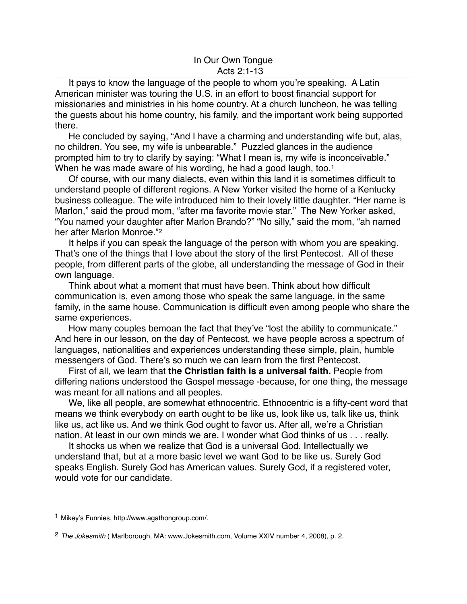## <span id="page-0-2"></span>In Our Own Tongue Acts 2:1-13

It pays to know the language of the people to whom you're speaking. A Latin American minister was touring the U.S. in an effort to boost financial support for missionaries and ministries in his home country. At a church luncheon, he was telling the guests about his home country, his family, and the important work being supported there.

He concluded by saying, "And I have a charming and understanding wife but, alas, no children. You see, my wife is unbearable." Puzzled glances in the audience prompted him to try to clarify by saying: "What I mean is, my wife is inconceivable." When he was made aware of his wording, he had a good laugh, too.<sup>1</sup>

Of course, with our many dialects, even within this land it is sometimes difficult to understand people of different regions. A New Yorker visited the home of a Kentucky business colleague. The wife introduced him to their lovely little daughter. "Her name is Marlon," said the proud mom, "after ma favorite movie star." The New Yorker asked, "You named your daughter after Marlon Brando?" "No silly," said the mom, "ah named her after Marlon Monroe.["2](#page-0-1)

<span id="page-0-3"></span>It helps if you can speak the language of the person with whom you are speaking. That's one of the things that I love about the story of the first Pentecost. All of these people, from different parts of the globe, all understanding the message of God in their own language.

Think about what a moment that must have been. Think about how difficult communication is, even among those who speak the same language, in the same family, in the same house. Communication is difficult even among people who share the same experiences.

How many couples bemoan the fact that they've "lost the ability to communicate." And here in our lesson, on the day of Pentecost, we have people across a spectrum of languages, nationalities and experiences understanding these simple, plain, humble messengers of God. There's so much we can learn from the first Pentecost.

First of all, we learn that **the Christian faith is a universal faith.** People from differing nations understood the Gospel message -because, for one thing, the message was meant for all nations and all peoples.

We, like all people, are somewhat ethnocentric. Ethnocentric is a fifty-cent word that means we think everybody on earth ought to be like us, look like us, talk like us, think like us, act like us. And we think God ought to favor us. After all, we're a Christian nation. At least in our own minds we are. I wonder what God thinks of us . . . really.

It shocks us when we realize that God is a universal God. Intellectually we understand that, but at a more basic level we want God to be like us. Surely God speaks English. Surely God has American values. Surely God, if a registered voter, would vote for our candidate.

<span id="page-0-0"></span><sup>&</sup>lt;sup>[1](#page-0-2)</sup> Mikey's Funnies, http://www.agathongroup.com/.

<span id="page-0-1"></span>*The Jokesmith* ( Marlborough, MA: www.Jokesmith.com, Volume XXIV number 4, 2008), p. 2. [2](#page-0-3)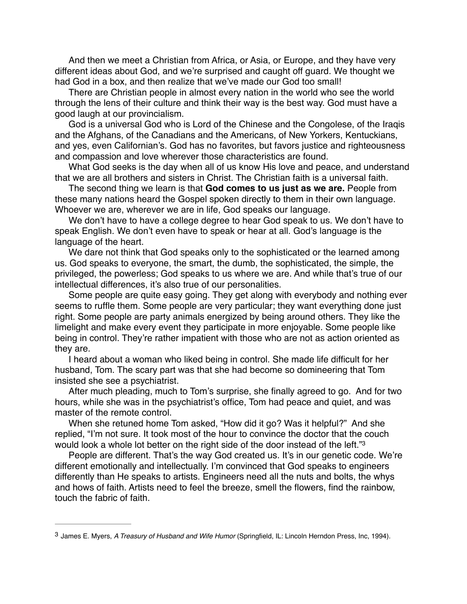And then we meet a Christian from Africa, or Asia, or Europe, and they have very different ideas about God, and we're surprised and caught off guard. We thought we had God in a box, and then realize that we've made our God too small!

There are Christian people in almost every nation in the world who see the world through the lens of their culture and think their way is the best way. God must have a good laugh at our provincialism.

God is a universal God who is Lord of the Chinese and the Congolese, of the Iraqis and the Afghans, of the Canadians and the Americans, of New Yorkers, Kentuckians, and yes, even Californian's. God has no favorites, but favors justice and righteousness and compassion and love wherever those characteristics are found.

What God seeks is the day when all of us know His love and peace, and understand that we are all brothers and sisters in Christ. The Christian faith is a universal faith.

The second thing we learn is that **God comes to us just as we are.** People from these many nations heard the Gospel spoken directly to them in their own language. Whoever we are, wherever we are in life, God speaks our language.

We don't have to have a college degree to hear God speak to us. We don't have to speak English. We don't even have to speak or hear at all. God's language is the language of the heart.

We dare not think that God speaks only to the sophisticated or the learned among us. God speaks to everyone, the smart, the dumb, the sophisticated, the simple, the privileged, the powerless; God speaks to us where we are. And while that's true of our intellectual differences, it's also true of our personalities.

Some people are quite easy going. They get along with everybody and nothing ever seems to ruffle them. Some people are very particular; they want everything done just right. Some people are party animals energized by being around others. They like the limelight and make every event they participate in more enjoyable. Some people like being in control. They're rather impatient with those who are not as action oriented as they are.

I heard about a woman who liked being in control. She made life difficult for her husband, Tom. The scary part was that she had become so domineering that Tom insisted she see a psychiatrist.

After much pleading, much to Tom's surprise, she finally agreed to go. And for two hours, while she was in the psychiatrist's office, Tom had peace and quiet, and was master of the remote control.

When she retuned home Tom asked, "How did it go? Was it helpful?" And she replied, "I'm not sure. It took most of the hour to convince the doctor that the couch would look a whole lot better on the right side of the door instead of the left."[3](#page-1-0)

<span id="page-1-1"></span>People are different. That's the way God created us. It's in our genetic code. We're different emotionally and intellectually. I'm convinced that God speaks to engineers differently than He speaks to artists. Engineers need all the nuts and bolts, the whys and hows of faith. Artists need to feel the breeze, smell the flowers, find the rainbow, touch the fabric of faith.

<span id="page-1-0"></span>James E. Myers, *A Treasury of Husband and Wife Humor* (Springfield, IL: Lincoln Herndon Press, Inc, 1994). [3](#page-1-1)